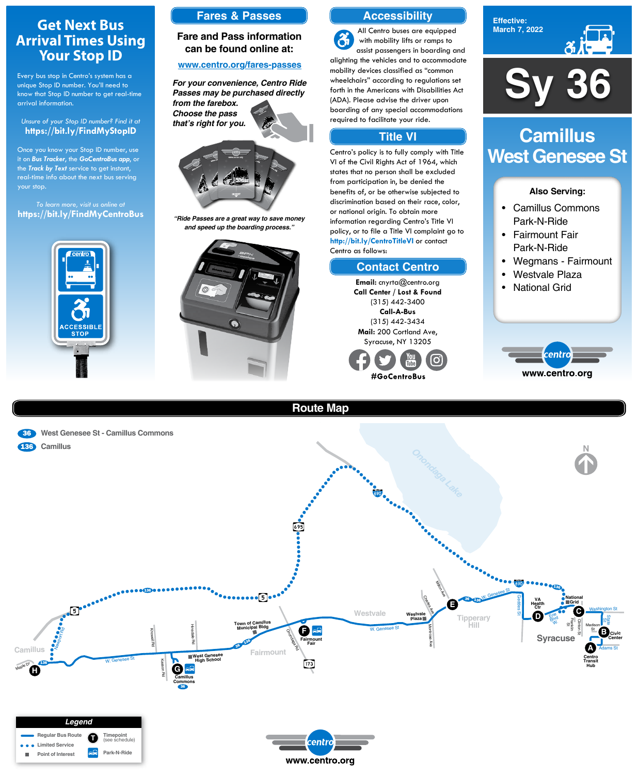**Effective: March 7, 2022**



#### **Also Serving:**

- Camillus Commons Park-N-Ride
- Fairmount Fair Park-N-Ride
- Wegmans Fairmount
- Westvale Plaza
- National Grid



# **Camillus West Genesee St**





# **Route Map**





# **Get Next Bus Arrival Times Using Your Stop ID**

Every bus stop in Centro's system has a unique Stop ID number. You'll need to know that Stop ID number to get real-time arrival information.

#### *Unsure of your Stop ID number? Find it at* **https://bit.ly/FindMyStopID**

Once you know your Stop ID number, use it on *Bus Tracker*, the *GoCentroBus app*, or the *Track by Text* service to get instant, real-time info about the next bus serving your stop.

*To learn more, visit us online at* **https://bit.ly/FindMyCentroBus**



**Sy 36**

# **Accessibility**

# **Contact Centro**

### **Title VI**

All Centro buses are equipped  $\mathbf{a}$ with mobility lifts or ramps to assist passengers in boarding and alighting the vehicles and to accommodate mobility devices classified as "common wheelchairs" according to regulations set forth in the Americans with Disabilities Act (ADA). Please advise the driver upon boarding of any special accommodations required to facilitate your ride.

Centro's policy is to fully comply with Title VI of the Civil Rights Act of 1964, which states that no person shall be excluded from participation in, be denied the benefits of, or be otherwise subjected to discrimination based on their race, color, or national origin. To obtain more information regarding Centro's Title VI policy, or to file a Title VI complaint go to **http://bit.ly/CentroTitleVI** or contact Centro as follows:

> **Email:** cnyrta@centro.org **Call Center / Lost & Found** (315) 442-3400 **Call-A-Bus** (315) 442-3434 **Mail:** 200 Cortland Ave, Syracuse, NY 13205



### **Fares & Passes**

#### **Fare and Pass information can be found online at:**

#### **www.centro.org/fares-passes**



*"Ride Passes are a great way to save money and speed up the boarding process."*



*For your convenience, Centro Ride Passes may be purchased directly from the farebox. Choose the pass that's right for you.*